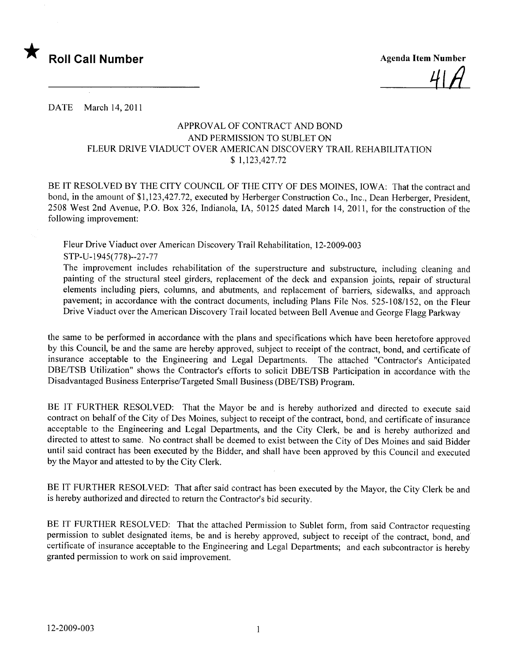

4 | H

DATE March 14, 2011

## APPROV AL OF CONTRACT AND BOND AND PERMISSION TO SUBLET ON FLEUR DRIVE VIADUCT OVER AMERICAN DISCOVERY TRAIL REHABILITATION \$ 1,123,427.72

BE IT RESOLVED BY THE CITY COUNCIL OF THE CITY OF DES MOINES, IOWA: That the contract and bond, in the amount of \$1,123,427.72, executed by Herberger Construction Co., Inc., Dean Herberger, President, 2508 West 2nd Avenue, P.O. Box 326, Indianola, lA, 50125 dated March 14, 2011, for the construction of the following improvement:

Fleur Drive Viaduct over American Discovery Trail Rehabilitation, 12-2009-003 STP-U-1945(778)--27-77

The improvement includes rehabilitation of the superstructure and substructure, including cleaning and painting of the structural steel girders, replacement of the deck and expansion joints, repair of structural elements including piers, columns, and abutments, and replacement of barriers, sidewalks, and approach pavement; in accordance with the contract documents, including Plans File Nos. 525-108/152, on the Fleur Drive Viaduct over the American Discovery Trail located between Bell Avenue and George Flagg Parkway

the same to be performed in accordance with the plans and specifications which have been heretofore approved by this Council, be and the same are hereby approved, subject to receipt of the contract, bond, and certificate of insurance acceptable to the Engineering and Legal Departments. The attached "Contractor's Anticipated DBE/TSB Utilization" shows the Contractor's efforts to solicit DBE/TSB Participation in accordance with the Disadvantaged Business Enterprise/Targeted Small Business (DBE/TSB) Program.

BE IT FURTHER RESOLVED: That the Mayor be and is hereby authorized and directed to execute said contract on behalf of the City of Des Moines, subject to receipt of the contract, bond, and certificate of insurance acceptable to the Engineering and Legal Departments, and the City Clerk, be and is hereby authorized and directed to attest to same. No contract shall be deemed to exist between the City of Des Moines and said Bidder until said contract has been executed by the Bidder, and shall have been approved by this Council and executed by the Mayor and attested to by the City Clerk.

BE IT FURTHER RESOLVED: That after said contract has been executed by the Mayor, the City Clerk be and is hereby authorized and directed to return the Contractor's bid security.

BE IT FURTHER RESOLVED: That the attached Permission to Sublet form, from said Contractor requesting permission to sublet designated items, be and is hereby approved, subject to receipt of the contract, bond, and certificate of insurance acceptable to the Engineering and Legal Departments; and each subcontractor is hereby granted permission to work on said improvement.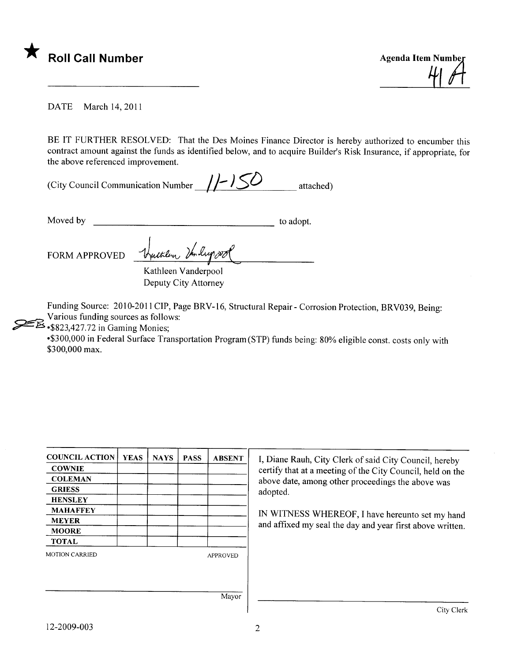

41 pt

DATE March 14, 2011

BE IT FURTHER RESOLVED: That the Des Moines Finance Director is hereby authorized to encumber this contract amount against the funds as identified below, and to acquire Builder's Risk Insurance, if appropriate, for the above referenced improvement.

| (City Council Communication Number $//$ ) |  | attached) |
|-------------------------------------------|--|-----------|
|-------------------------------------------|--|-----------|

Moved by to adopt.

FORM APPROVED Walter

Kathleen Vanderpool Deputy City Attorney

Funding Source: 2010-2011 CIP, Page BRV-16, Structural Repair - Corrosion Protection, BRV039, Being: Various funding sources as follows:

 $\mathcal{L}_{\text{-$823,427.72 in Gamma Monies}}$ 

-\$300,000 in Federal Surface Transportation Program (STP) funds being: 80% eligible const. costs only with \$300,000 max.

| <b>COUNCIL ACTION</b> | <b>YEAS</b> | <b>NAYS</b> | <b>PASS</b> | <b>ABSENT</b>   | I, Diane Rauh, City Clerk of said City Council, hereby                                                          |  |  |  |
|-----------------------|-------------|-------------|-------------|-----------------|-----------------------------------------------------------------------------------------------------------------|--|--|--|
| <b>COWNIE</b>         |             |             |             |                 | certify that at a meeting of the City Council, held on the<br>above date, among other proceedings the above was |  |  |  |
| <b>COLEMAN</b>        |             |             |             |                 |                                                                                                                 |  |  |  |
| <b>GRIESS</b>         |             |             |             |                 | adopted.                                                                                                        |  |  |  |
| <b>HENSLEY</b>        |             |             |             |                 |                                                                                                                 |  |  |  |
| <b>MAHAFFEY</b>       |             |             |             |                 | IN WITNESS WHEREOF, I have hereunto set my hand<br>and affixed my seal the day and year first above written.    |  |  |  |
| <b>MEYER</b>          |             |             |             |                 |                                                                                                                 |  |  |  |
| <b>MOORE</b>          |             |             |             |                 |                                                                                                                 |  |  |  |
| <b>TOTAL</b>          |             |             |             |                 |                                                                                                                 |  |  |  |
| <b>MOTION CARRIED</b> |             |             |             | <b>APPROVED</b> |                                                                                                                 |  |  |  |
|                       |             |             |             |                 |                                                                                                                 |  |  |  |
|                       |             |             |             |                 |                                                                                                                 |  |  |  |
|                       |             |             |             | Mayor           |                                                                                                                 |  |  |  |

12-2009-003 2

City Clerk